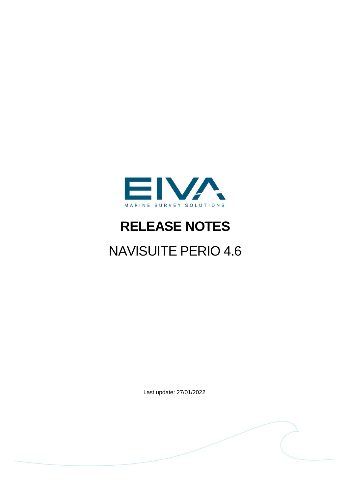

# **RELEASE NOTES**

# NAVISUITE PERIO 4.6

Last update: 27/01/2022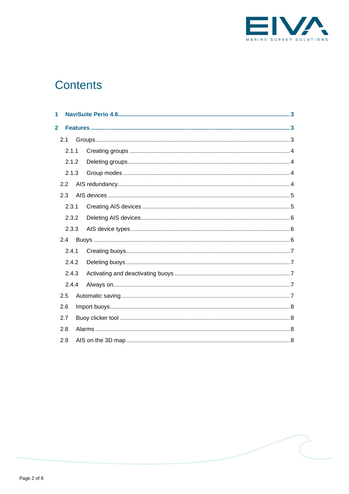

# **Contents**

| 1              |       |  |  |  |  |  |  |
|----------------|-------|--|--|--|--|--|--|
| $\overline{2}$ |       |  |  |  |  |  |  |
|                | 2.1   |  |  |  |  |  |  |
|                | 2.1.1 |  |  |  |  |  |  |
|                | 2.1.2 |  |  |  |  |  |  |
|                | 2.1.3 |  |  |  |  |  |  |
|                | 2.2   |  |  |  |  |  |  |
|                | 2.3   |  |  |  |  |  |  |
|                | 2.3.1 |  |  |  |  |  |  |
|                | 2.3.2 |  |  |  |  |  |  |
|                | 2.3.3 |  |  |  |  |  |  |
|                | 2.4   |  |  |  |  |  |  |
|                | 2.4.1 |  |  |  |  |  |  |
|                | 2.4.2 |  |  |  |  |  |  |
|                | 2.4.3 |  |  |  |  |  |  |
|                | 2.4.4 |  |  |  |  |  |  |
|                | 2.5   |  |  |  |  |  |  |
|                | 2.6   |  |  |  |  |  |  |
|                | 2.7   |  |  |  |  |  |  |
|                | 2.8   |  |  |  |  |  |  |
|                | 2.9   |  |  |  |  |  |  |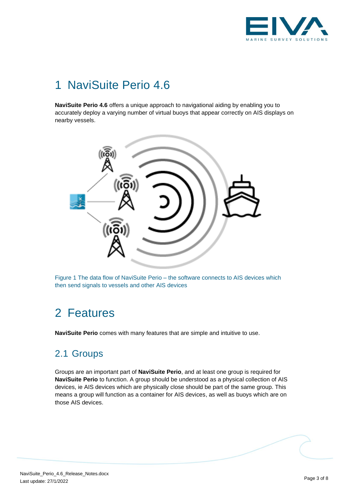

# <span id="page-2-0"></span>1 NaviSuite Perio 4.6

**NaviSuite Perio 4.6** offers a unique approach to navigational aiding by enabling you to accurately deploy a varying number of virtual buoys that appear correctly on AIS displays on nearby vessels.



<span id="page-2-1"></span>Figure 1 The data flow of NaviSuite Perio – the software connects to AIS devices which then send signals to vessels and other AIS devices

# 2 Features

<span id="page-2-2"></span>**NaviSuite Perio** comes with many features that are simple and intuitive to use.

# 2.1 Groups

Groups are an important part of **NaviSuite Perio**, and at least one group is required for **NaviSuite Perio** to function. A group should be understood as a physical collection of AIS devices, ie AIS devices which are physically close should be part of the same group. This means a group will function as a container for AIS devices, as well as buoys which are on those AIS devices.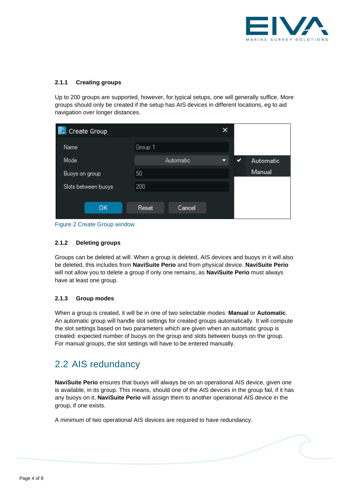

#### <span id="page-3-0"></span>**2.1.1 Creating groups**

Up to 200 groups are supported, however, for typical setups, one will generally suffice. More groups should only be created if the setup has AIS devices in different locations, eg to aid navigation over longer distances.

|         |           | × |   |           |
|---------|-----------|---|---|-----------|
| Group 1 |           |   |   |           |
|         | Automatic |   | ◡ | Automatic |
| 50      |           |   |   | Manual    |
| 200     |           |   |   |           |
|         |           |   |   |           |
| Reset   | Cancel    |   |   |           |
|         |           |   |   |           |

<span id="page-3-1"></span>Figure 2 Create Group window

#### **2.1.2 Deleting groups**

Groups can be deleted at will. When a group is deleted, AIS devices and buoys in it will also be deleted, this includes from **NaviSuite Perio** and from physical device. **NaviSuite Perio** will not allow you to delete a group if only one remains, as **NaviSuite Perio** must always have at least one group.

#### <span id="page-3-2"></span>**2.1.3 Group modes**

When a group is created, it will be in one of two selectable modes: **Manual** or **Automatic**. An automatic group will handle slot settings for created groups automatically. It will compute the slot settings based on two parameters which are given when an automatic group is created: expected number of buoys on the group and slots between buoys on the group. For manual groups, the slot settings will have to be entered manually.

### <span id="page-3-3"></span>2.2 AIS redundancy

**NaviSuite Perio** ensures that buoys will always be on an operational AIS device, given one is available, in its group. This means, should one of the AIS devices in the group fail, if it has any buoys on it, **NaviSuite Perio** will assign them to another operational AIS device in the group, if one exists.

A minimum of two operational AIS devices are required to have redundancy.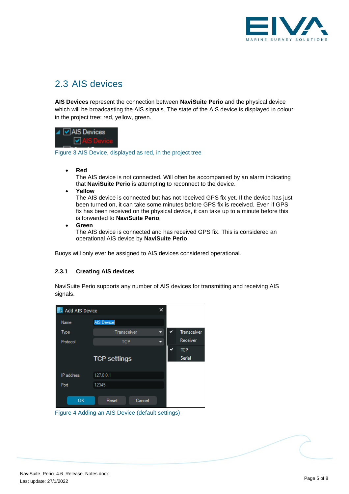

# <span id="page-4-0"></span>2.3 AIS devices

**AIS Devices** represent the connection between **NaviSuite Perio** and the physical device which will be broadcasting the AIS signals. The state of the AIS device is displayed in colour in the project tree: red, yellow, green.



Figure 3 AIS Device, displayed as red, in the project tree

• **Red**

The AIS device is not connected. Will often be accompanied by an alarm indicating that **NaviSuite Perio** is attempting to reconnect to the device.

• **Yellow**

The AIS device is connected but has not received GPS fix yet. If the device has just been turned on, it can take some minutes before GPS fix is received. Even if GPS fix has been received on the physical device, it can take up to a minute before this is forwarded to **NaviSuite Perio**.

• **Green**

The AIS device is connected and has received GPS fix. This is considered an operational AIS device by **NaviSuite Perio**.

<span id="page-4-1"></span>Buoys will only ever be assigned to AIS devices considered operational.

#### **2.3.1 Creating AIS devices**

NaviSuite Perio supports any number of AIS devices for transmitting and receiving AIS signals.



Figure 4 Adding an AIS Device (default settings)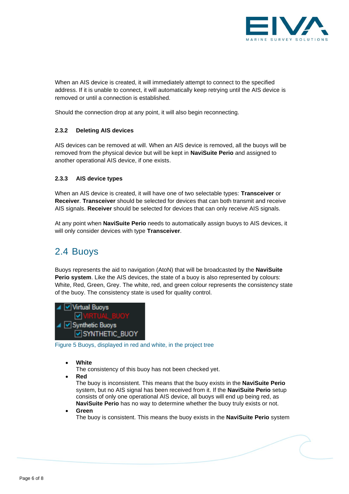

When an AIS device is created, it will immediately attempt to connect to the specified address. If it is unable to connect, it will automatically keep retrying until the AIS device is removed or until a connection is established.

<span id="page-5-0"></span>Should the connection drop at any point, it will also begin reconnecting.

#### **2.3.2 Deleting AIS devices**

AIS devices can be removed at will. When an AIS device is removed, all the buoys will be removed from the physical device but will be kept in **NaviSuite Perio** and assigned to another operational AIS device, if one exists.

#### <span id="page-5-1"></span>**2.3.3 AIS device types**

When an AIS device is created, it will have one of two selectable types: **Transceiver** or **Receiver**. **Transceiver** should be selected for devices that can both transmit and receive AIS signals. **Receiver** should be selected for devices that can only receive AIS signals.

At any point when **NaviSuite Perio** needs to automatically assign buoys to AIS devices, it will only consider devices with type **Transceiver**.

### <span id="page-5-2"></span>2.4 Buoys

Buoys represents the aid to navigation (AtoN) that will be broadcasted by the **NaviSuite Perio system**. Like the AIS devices, the state of a buoy is also represented by colours: White, Red, Green, Grey. The white, red, and green colour represents the consistency state of the buoy. The consistency state is used for quality control.



Figure 5 Buoys, displayed in red and white, in the project tree

- **White**
	- The consistency of this buoy has not been checked yet.
- **Red**

The buoy is inconsistent. This means that the buoy exists in the **NaviSuite Perio** system, but no AIS signal has been received from it. If the **NaviSuite Perio** setup consists of only one operational AIS device, all buoys will end up being red, as **NaviSuite Perio** has no way to determine whether the buoy truly exists or not.

• **Green**

The buoy is consistent. This means the buoy exists in the **NaviSuite Perio** system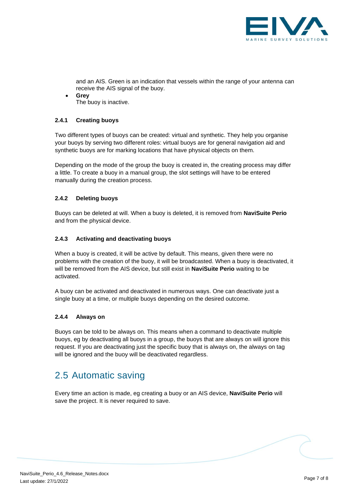

and an AIS. Green is an indication that vessels within the range of your antenna can receive the AIS signal of the buoy.

• **Grey** The buoy is inactive.

#### <span id="page-6-0"></span>**2.4.1 Creating buoys**

Two different types of buoys can be created: virtual and synthetic. They help you organise your buoys by serving two different roles: virtual buoys are for general navigation aid and synthetic buoys are for marking locations that have physical objects on them.

Depending on the mode of the group the buoy is created in, the creating process may differ a little. To create a buoy in a manual group, the slot settings will have to be entered manually during the creation process.

#### <span id="page-6-1"></span>**2.4.2 Deleting buoys**

Buoys can be deleted at will. When a buoy is deleted, it is removed from **NaviSuite Perio** and from the physical device.

#### <span id="page-6-2"></span>**2.4.3 Activating and deactivating buoys**

When a buoy is created, it will be active by default. This means, given there were no problems with the creation of the buoy, it will be broadcasted. When a buoy is deactivated, it will be removed from the AIS device, but still exist in **NaviSuite Perio** waiting to be activated.

A buoy can be activated and deactivated in numerous ways. One can deactivate just a single buoy at a time, or multiple buoys depending on the desired outcome.

#### <span id="page-6-3"></span>**2.4.4 Always on**

Buoys can be told to be always on. This means when a command to deactivate multiple buoys, eg by deactivating all buoys in a group, the buoys that are always on will ignore this request. If you are deactivating just the specific buoy that is always on, the always on tag will be ignored and the buoy will be deactivated regardless.

# <span id="page-6-4"></span>2.5 Automatic saving

Every time an action is made, eg creating a buoy or an AIS device, **NaviSuite Perio** will save the project. It is never required to save.